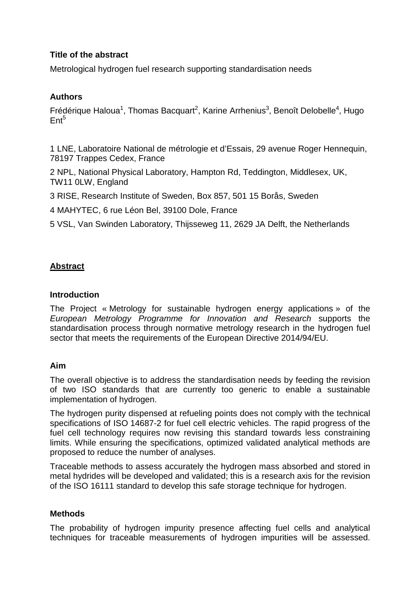### **Title of the abstract**

Metrological hydrogen fuel research supporting standardisation needs

# **Authors**

Frédérique Haloua<sup>1</sup>, Thomas Bacquart<sup>2</sup>, Karine Arrhenius<sup>3</sup>, Benoît Delobelle<sup>4</sup>, Hugo  $Ent<sup>5</sup>$ 

1 LNE, Laboratoire National de métrologie et d'Essais, 29 avenue Roger Hennequin, 78197 Trappes Cedex, France

2 NPL, National Physical Laboratory, Hampton Rd, Teddington, Middlesex, UK, TW11 0LW, England

3 RISE, Research Institute of Sweden, Box 857, 501 15 Borås, Sweden

4 MAHYTEC, 6 rue Léon Bel, 39100 Dole, France

5 VSL, Van Swinden Laboratory, Thijsseweg 11, 2629 JA Delft, the Netherlands

# **Abstract**

#### **Introduction**

The Project « Metrology for sustainable hydrogen energy applications » of the European Metrology Programme for Innovation and Research supports the standardisation process through normative metrology research in the hydrogen fuel sector that meets the requirements of the European Directive 2014/94/EU.

#### **Aim**

The overall objective is to address the standardisation needs by feeding the revision of two ISO standards that are currently too generic to enable a sustainable implementation of hydrogen.

The hydrogen purity dispensed at refueling points does not comply with the technical specifications of ISO 14687-2 for fuel cell electric vehicles. The rapid progress of the fuel cell technology requires now revising this standard towards less constraining limits. While ensuring the specifications, optimized validated analytical methods are proposed to reduce the number of analyses.

Traceable methods to assess accurately the hydrogen mass absorbed and stored in metal hydrides will be developed and validated; this is a research axis for the revision of the ISO 16111 standard to develop this safe storage technique for hydrogen.

#### **Methods**

The probability of hydrogen impurity presence affecting fuel cells and analytical techniques for traceable measurements of hydrogen impurities will be assessed.